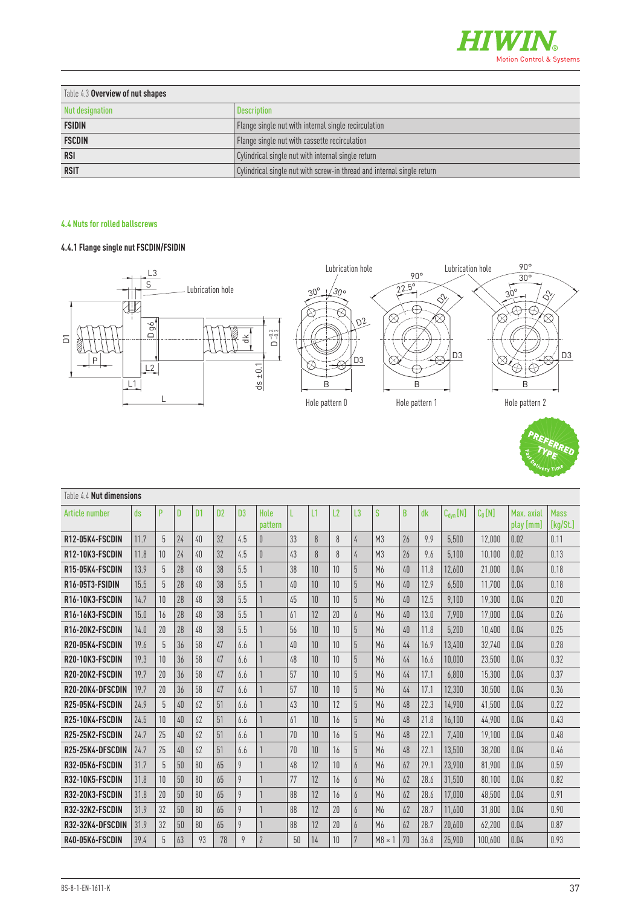

| Table 4.3 Overview of nut shapes |                                                                        |
|----------------------------------|------------------------------------------------------------------------|
| Nut designation                  | Description                                                            |
| <b>FSIDIN</b>                    | Flange single nut with internal single recirculation                   |
| <b>FSCDIN</b>                    | Flange single nut with cassette recirculation                          |
| <b>RSI</b>                       | Cylindrical single nut with internal single return                     |
| <b>RSIT</b>                      | Cylindrical single nut with screw-in thread and internal single return |

## **4.4 Nuts for rolled ballscrews**

## **4.4.1 Flange single nut FSCDIN/FSIDIN**





| $\overline{\square}$<br>P | 읭<br>$D - 0.2$<br>$\hfill \Box$<br>농<br>ㅎ<br>$+0.1$<br>L2<br>ä<br>L1 |            |    |                |                |                |                 |    |    | B<br>Hole pattern 0 | D <sub>3</sub> | Ø.             | B  | Hole pattern 1 | D <sub>3</sub> | D <sub>3</sub><br>⊗<br>$\circledcirc$<br>B<br>Hole pattern 2<br><b>REFERRED</b> |                         |                         |  |
|---------------------------|----------------------------------------------------------------------|------------|----|----------------|----------------|----------------|-----------------|----|----|---------------------|----------------|----------------|----|----------------|----------------|---------------------------------------------------------------------------------|-------------------------|-------------------------|--|
| Table 4.4 Nut dimensions  |                                                                      |            |    |                |                |                |                 |    |    |                     |                |                |    |                |                |                                                                                 |                         |                         |  |
| Article number            | ds                                                                   | P          | D  | D <sub>1</sub> | D <sub>2</sub> | D <sub>3</sub> | Hole<br>pattern | L  | L1 | L2                  | L <sub>3</sub> | S              | B  | dk             | $C_{dyn}[N]$   | $C_0[N]$                                                                        | Max. axial<br>play [mm] | <b>Mass</b><br>[kg/St.] |  |
| R12-05K4-FSCDIN           | 11.7                                                                 | $\sqrt{5}$ | 24 | 40             | 32             | 4.5            | $\overline{0}$  | 33 | 8  | 8                   | 4              | M <sub>3</sub> | 26 | 9.9            | 5.500          | 12.000                                                                          | 0.02                    | 0.11                    |  |
| R12-10K3-FSCDIN           | 11.8                                                                 | 10         | 24 | 40             | 32             | 4.5            | 0               | 43 | 8  | 8                   | $\sqrt{4}$     | M <sub>3</sub> | 26 | 9.6            | 5,100          | 10,100                                                                          | 0.02                    | 0.13                    |  |
| R15-05K4-FSCDIN           | 13.9                                                                 | 5          | 28 | 48             | $38\,$         | 5.5            |                 | 38 | 10 | $10\,$              | 5              | M6             | 40 | 11.8           | 12,600         | 21,000                                                                          | 0.04                    | 0.18                    |  |
| R16-05T3-FSIDIN           | 15.5                                                                 | $5\,$      | 28 | 48             | 38             | 5.5            |                 | 40 | 10 | 10 <sup>°</sup>     | $5\,$          | M6             | 40 | 12.9           | 6,500          | 11,700                                                                          | 0.04                    | 0.18                    |  |
| R16-10K3-FSCDIN           | 14.7                                                                 | $10\,$     | 28 | 48             | 38             | 5.5            |                 | 45 | 10 | 10                  | $5\,$          | M6             | 40 | 12.5           | 9,100          | 19,300                                                                          | 0.04                    | 0.20                    |  |
| R16-16K3-FSCDIN           | 15.0                                                                 | 16         | 28 | 48             | 38             | 5.5            |                 | 61 | 12 | 20                  | 6              | M <sub>6</sub> | 40 | 13.0           | 7,900          | 17.000                                                                          | 0.04                    | 0.26                    |  |
| R16-20K2-FSCDIN           | 14.0                                                                 | 20         | 28 | 48             | 38             | 5.5            |                 | 56 | 10 | 10 <sup>°</sup>     | 5              | M <sub>6</sub> | 40 | 11.8           | 5,200          | 10.400                                                                          | 0.04                    | 0.25                    |  |
| R20-05K4-FSCDIN           | 19.6                                                                 | 5          | 36 | 58             | 47             | 6.6            |                 | 40 | 10 | 10                  | 5              | M6             | 44 | 16.9           | 13,400         | 32,740                                                                          | 0.04                    | 0.28                    |  |
| R20-10K3-FSCDIN           | 19.3                                                                 | 10         | 36 | 58             | 47             | 6.6            |                 | 48 | 10 | 10                  | 5              | M <sub>6</sub> | 44 | 16.6           | 10,000         | 23,500                                                                          | 0.04                    | 0.32                    |  |
| R20-20K2-FSCDIN           | 19.7                                                                 | 20         | 36 | 58             | $\sqrt{47}$    | 6.6            |                 | 57 | 10 | $10\,$              | 5              | M6             | 44 | 17.1           | 6,800          | 15,300                                                                          | 0.04                    | 0.37                    |  |
| R20-20K4-DFSCDIN          | 19.7                                                                 | 20         | 36 | 58             | 47             | 6.6            | 1               | 57 | 10 | 10 <sup>°</sup>     | 5              | M6             | 44 | 17.1           | 12,300         | 30,500                                                                          | 0.04                    | 0.36                    |  |
| R25-05K4-FSCDIN           | 24.9                                                                 | 5          | 40 | 62             | 51             | 6.6            | 1               | 43 | 10 | 12                  | 5              | M6             | 48 | 22.3           | 14,900         | 41,500                                                                          | 0.04                    | 0.22                    |  |
| R25-10K4-FSCDIN           | 24.5                                                                 | 10         | 40 | 62             | 51             | 6.6            | 1               | 61 | 10 | 16                  | 5              | M <sub>6</sub> | 48 | 21.8           | 16,100         | 44,900                                                                          | 0.04                    | 0.43                    |  |
| R25-25K2-FSCDIN           | 24.7                                                                 | 25         | 40 | 62             | 51             | 6.6            | 1               | 70 | 10 | $16\,$              | 5              | M <sub>6</sub> | 48 | 22.1           | 7,400          | 19,100                                                                          | 0.04                    | 0.48                    |  |
| R25-25K4-DFSCDIN          | 24.7                                                                 | 25         | 40 | 62             | 51             | 6.6            | 1               | 70 | 10 | 16                  | 5              | M <sub>6</sub> | 48 | 22.1           | 13,500         | 38,200                                                                          | 0.04                    | 0.46                    |  |
| R32-05K6-FSCDIN           | 31.7                                                                 | 5          | 50 | 80             | 65             | 9              | 1               | 48 | 12 | 10                  | 6              | M <sub>6</sub> | 62 | 29.1           | 23,900         | 81,900                                                                          | 0.04                    | 0.59                    |  |
| R32-10K5-FSCDIN           | 31.8                                                                 | 10         | 50 | 80             | 65             | 9              | 1               | 77 | 12 | 16                  | 6              | M6             | 62 | 28.6           | 31,500         | 80.100                                                                          | 0.04                    | 0.82                    |  |
| R32-20K3-FSCDIN           | 31.8                                                                 | 20         | 50 | 80             | 65             | 9              | $\mathbf{1}$    | 88 | 12 | 16                  | 6              | M <sub>6</sub> | 62 | 28.6           | 17,000         | 48,500                                                                          | 0.04                    | 0.91                    |  |
| R32-32K2-FSCDIN           | 31.9                                                                 | 32         | 50 | $80\,$         | 65             | 9              | 1               | 88 | 12 | 20                  | 6              | M6             | 62 | 28.7           | 11,600         | 31,800                                                                          | 0.04                    | 0.90                    |  |
| R32-32K4-DFSCDIN          | 31.9                                                                 | 32         | 50 | 80             | 65             | 9              | 1               | 88 | 12 | 20                  | 6              | M6             | 62 | 28.7           | 20,600         | 62,200                                                                          | 0.04                    | 0.87                    |  |
| R40-05K6-FSCDIN           | 39.4                                                                 | 5          | 63 | 93             | 78             | 9              | $\overline{2}$  | 50 | 14 | 10                  | $\overline{7}$ | $M8 \times 1$  | 70 | 36.8           | 25,900         | 100,600                                                                         | 0.04                    | 0.93                    |  |